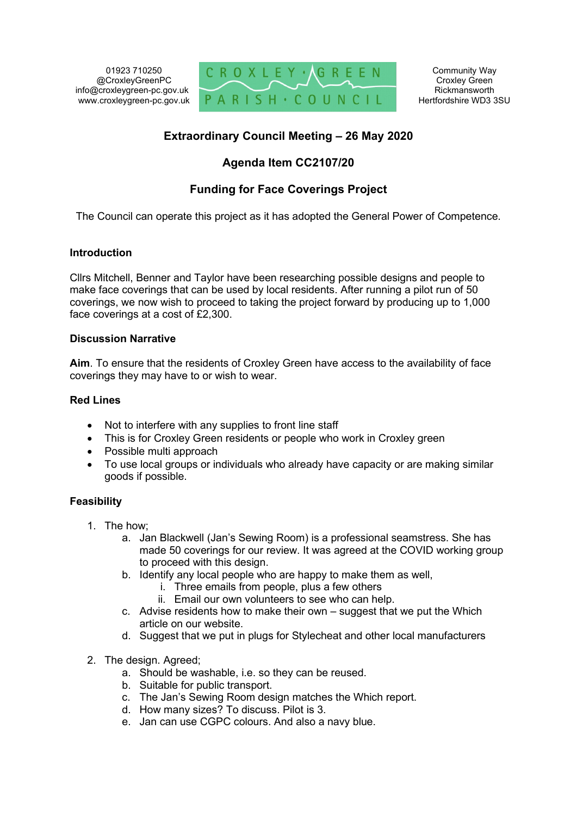01923 710250 @CroxleyGreenPC info@croxleygreen-pc.gov.uk www.croxleygreen-pc.gov.uk



# **Extraordinary Council Meeting – 26 May 2020**

## **Agenda Item CC2107/20**

# **Funding for Face Coverings Project**

The Council can operate this project as it has adopted the General Power of Competence.

### **Introduction**

Cllrs Mitchell, Benner and Taylor have been researching possible designs and people to make face coverings that can be used by local residents. After running a pilot run of 50 coverings, we now wish to proceed to taking the project forward by producing up to 1,000 face coverings at a cost of £2,300.

### **Discussion Narrative**

**Aim**. To ensure that the residents of Croxley Green have access to the availability of face coverings they may have to or wish to wear.

### **Red Lines**

- Not to interfere with any supplies to front line staff
- This is for Croxley Green residents or people who work in Croxley green
- Possible multi approach
- To use local groups or individuals who already have capacity or are making similar goods if possible.

### **Feasibility**

- 1. The how;
	- a. Jan Blackwell (Jan's Sewing Room) is a professional seamstress. She has made 50 coverings for our review. It was agreed at the COVID working group to proceed with this design.
	- b. Identify any local people who are happy to make them as well,
		- i. Three emails from people, plus a few others
		- ii. Email our own volunteers to see who can help.
	- c. Advise residents how to make their own suggest that we put the Which article on our website.
	- d. Suggest that we put in plugs for Stylecheat and other local manufacturers
- 2. The design. Agreed;
	- a. Should be washable, i.e. so they can be reused.
	- b. Suitable for public transport.
	- c. The Jan's Sewing Room design matches the Which report.
	- d. How many sizes? To discuss. Pilot is 3.
	- e. Jan can use CGPC colours. And also a navy blue.